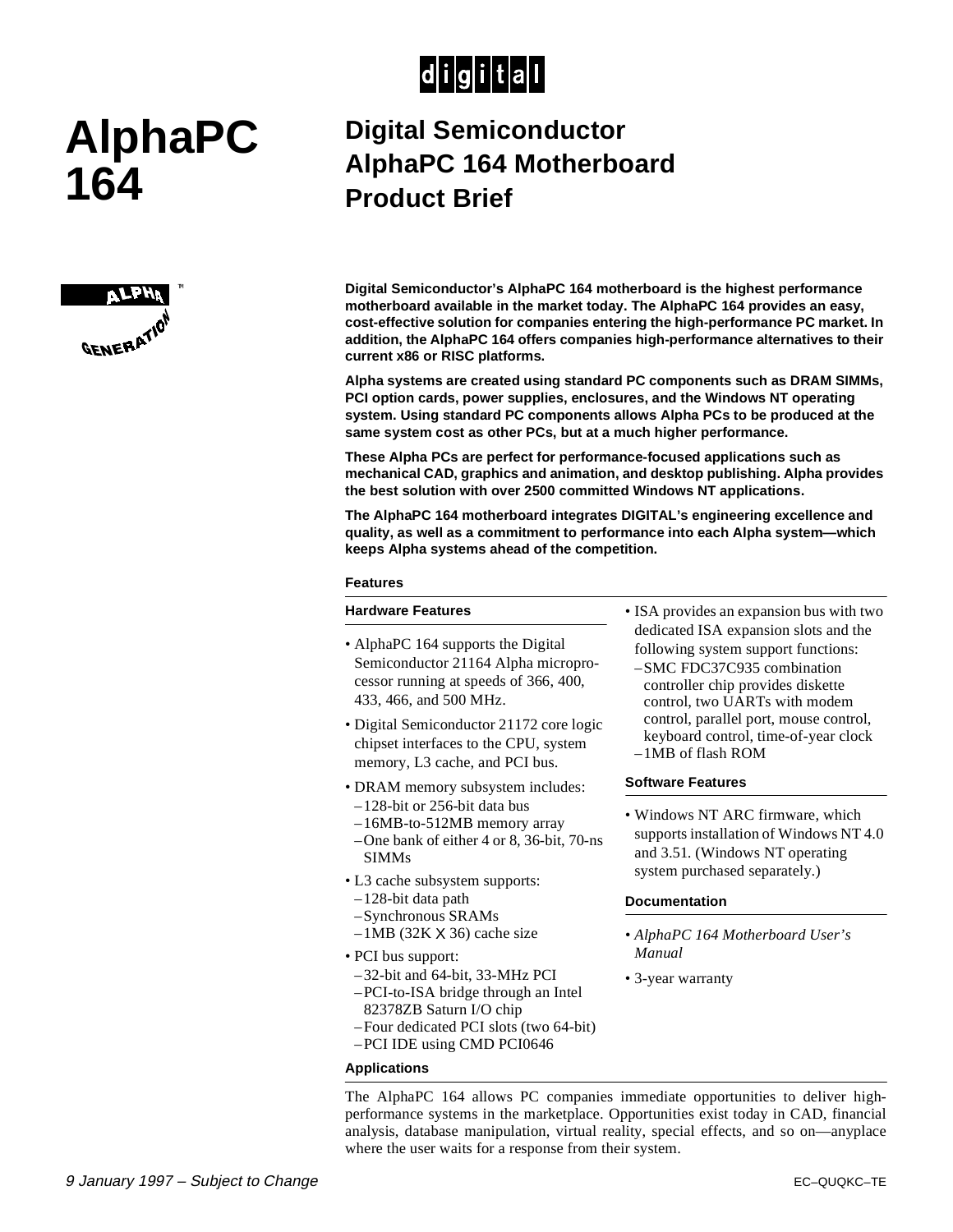## $|d|i|g|i|t|a|I|$

# **AlphaPC 164**



### **Digital Semiconductor AlphaPC 164 Motherboard Product Brief**

**Digital Semiconductor's AlphaPC 164 motherboard is the highest performance motherboard available in the market today. The AlphaPC 164 provides an easy, cost-effective solution for companies entering the high-performance PC market. In addition, the AlphaPC 164 offers companies high-performance alternatives to their current x86 or RISC platforms.**

**Alpha systems are created using standard PC components such as DRAM SIMMs, PCI option cards, power supplies, enclosures, and the Windows NT operating system. Using standard PC components allows Alpha PCs to be produced at the same system cost as other PCs, but at a much higher performance.**

**These Alpha PCs are perfect for performance-focused applications such as mechanical CAD, graphics and animation, and desktop publishing. Alpha provides the best solution with over 2500 committed Windows NT applications.**

**The AlphaPC 164 motherboard integrates DIGITAL's engineering excellence and quality, as well as a commitment to performance into each Alpha system—which keeps Alpha systems ahead of the competition.**

#### **Features**

#### **Hardware Features**

- AlphaPC 164 supports the Digital Semiconductor 21164 Alpha microprocessor running at speeds of 366, 400, 433, 466, and 500 MHz.
- Digital Semiconductor 21172 core logic chipset interfaces to the CPU, system memory, L3 cache, and PCI bus.
- DRAM memory subsystem includes:
- –128-bit or 256-bit data bus
- –16MB-to-512MB memory array
- –One bank of either 4 or 8, 36-bit, 70-ns SIMMs
- L3 cache subsystem supports:
- –128-bit data path
- –Synchronous SRAMs
- $-1MB$  (32K  $\times$  36) cache size
- PCI bus support:
- –32-bit and 64-bit, 33-MHz PCI
- –PCI-to-ISA bridge through an Intel
- 82378ZB Saturn I/O chip –Four dedicated PCI slots (two 64-bit)
- –PCI IDE using CMD PCI0646

#### **Applications**

• ISA provides an expansion bus with two dedicated ISA expansion slots and the following system support functions: –SMC FDC37C935 combination

controller chip provides diskette control, two UARTs with modem control, parallel port, mouse control, keyboard control, time-of-year clock –1MB of flash ROM

#### **Software Features**

• Windows NT ARC firmware, which supports installation of Windows NT 4.0 and 3.51. (Windows NT operating system purchased separately.)

#### **Documentation**

- *AlphaPC 164 Motherboard User's Manual*
- 3-year warranty

The AlphaPC 164 allows PC companies immediate opportunities to deliver highperformance systems in the marketplace. Opportunities exist today in CAD, financial analysis, database manipulation, virtual reality, special effects, and so on—anyplace where the user waits for a response from their system.